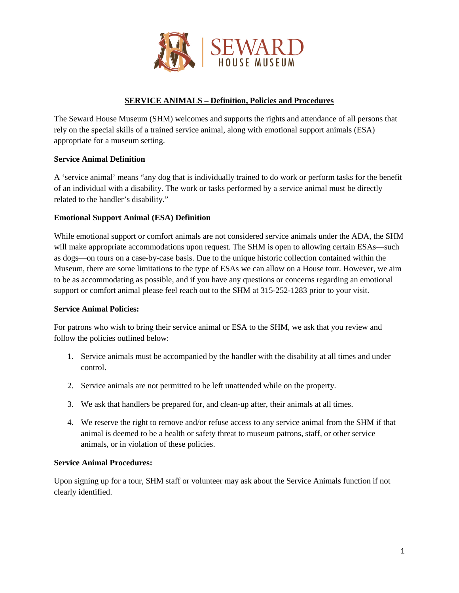

# **SERVICE ANIMALS – Definition, Policies and Procedures**

The Seward House Museum (SHM) welcomes and supports the rights and attendance of all persons that rely on the special skills of a trained service animal, along with emotional support animals (ESA) appropriate for a museum setting.

## **Service Animal Definition**

A 'service animal' means "any dog that is individually trained to do work or perform tasks for the benefit of an individual with a disability. The work or tasks performed by a service animal must be directly related to the handler's disability."

## **Emotional Support Animal (ESA) Definition**

While emotional support or comfort animals are not considered service animals under the ADA, the SHM will make appropriate accommodations upon request. The SHM is open to allowing certain ESAs—such as dogs—on tours on a case-by-case basis. Due to the unique historic collection contained within the Museum, there are some limitations to the type of ESAs we can allow on a House tour. However, we aim to be as accommodating as possible, and if you have any questions or concerns regarding an emotional support or comfort animal please feel reach out to the SHM at 315-252-1283 prior to your visit.

#### **Service Animal Policies:**

For patrons who wish to bring their service animal or ESA to the SHM, we ask that you review and follow the policies outlined below:

- 1. Service animals must be accompanied by the handler with the disability at all times and under control.
- 2. Service animals are not permitted to be left unattended while on the property.
- 3. We ask that handlers be prepared for, and clean-up after, their animals at all times.
- 4. We reserve the right to remove and/or refuse access to any service animal from the SHM if that animal is deemed to be a health or safety threat to museum patrons, staff, or other service animals, or in violation of these policies.

### **Service Animal Procedures:**

Upon signing up for a tour, SHM staff or volunteer may ask about the Service Animals function if not clearly identified.